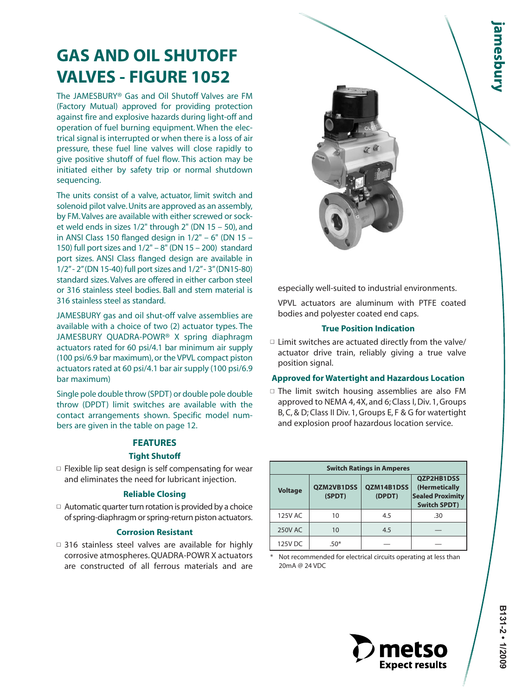# **GAS AND OIL SHUTOFF VALVES - FIGURE 1052**

The JAMESBURY® Gas and Oil Shutoff Valves are FM (Factory Mutual) approved for providing protection against fire and explosive hazards during light-off and operation of fuel burning equipment. When the electrical signal is interrupted or when there is a loss of air pressure, these fuel line valves will close rapidly to give positive shutoff of fuel flow. This action may be initiated either by safety trip or normal shutdown sequencing.

The units consist of a valve, actuator, limit switch and solenoid pilot valve. Units are approved as an assembly, by FM.Valves are available with either screwed or socket weld ends in sizes 1/2" through 2" (DN 15 – 50), and in ANSI Class 150 flanged design in  $1/2" - 6"$  (DN 15 – 150) full port sizes and 1/2" – 8" (DN 15 – 200) standard port sizes. ANSI Class flanged design are available in 1/2"- 2"(DN 15-40) full port sizes and 1/2"- 3"(DN15-80) standard sizes. Valves are offered in either carbon steel or 316 stainless steel bodies. Ball and stem material is 316 stainless steel as standard.

JAMESBURY gas and oil shut-off valve assemblies are available with a choice of two (2) actuator types. The JAMESBURY QUADRA-POWR® X spring diaphragm actuators rated for 60 psi/4.1 bar minimum air supply (100 psi/6.9 bar maximum), or the VPVL compact piston actuators rated at 60 psi/4.1 bar air supply (100 psi/6.9 bar maximum)

Single pole double throw (SPDT) or double pole double throw (DPDT) limit switches are available with the contact arrangements shown. Specific model numbers are given in the table on page 12.

#### **FEATURES**

#### **Tight Shutoff**

 $\square$  Flexible lip seat design is self compensating for wear and eliminates the need for lubricant injection.

#### **Reliable Closing**

 $\Box$  Automatic quarter turn rotation is provided by a choice of spring-diaphragm or spring-return piston actuators.

#### **Corrosion Resistant**

 $\Box$  316 stainless steel valves are available for highly corrosive atmospheres. QUADRA-POWR X actuators are constructed of all ferrous materials and are especially well-suited to industrial environments.

VPVL actuators are aluminum with PTFE coated bodies and polyester coated end caps.

#### **True Position Indication**

 $\Box$  Limit switches are actuated directly from the valve/ actuator drive train, reliably giving a true valve position signal.

#### **Approved for Watertight and Hazardous Location**

 $\Box$  The limit switch housing assemblies are also FM approved to NEMA 4, 4X, and 6; Class I, Div. 1, Groups B, C, & D; Class II Div. 1, Groups E, F & G for watertight and explosion proof hazardous location service.

|                |                             | <b>Switch Ratings in Amperes</b> |                                                                               |
|----------------|-----------------------------|----------------------------------|-------------------------------------------------------------------------------|
| <b>Voltage</b> | <b>OZM2VB1DSS</b><br>(SPDT) | QZM14B1DSS<br>(DPDT)             | QZP2HB1DSS<br>(Hermetically<br><b>Sealed Proximity</b><br><b>Switch SPDT)</b> |
| 125V AC        | 10                          | 4.5                              | .30                                                                           |
| 250V AC        | 10                          | 4.5                              |                                                                               |
| 125V DC        | $.50*$                      |                                  |                                                                               |

Not recommended for electrical circuits operating at less than 20mA @ 24 VDC

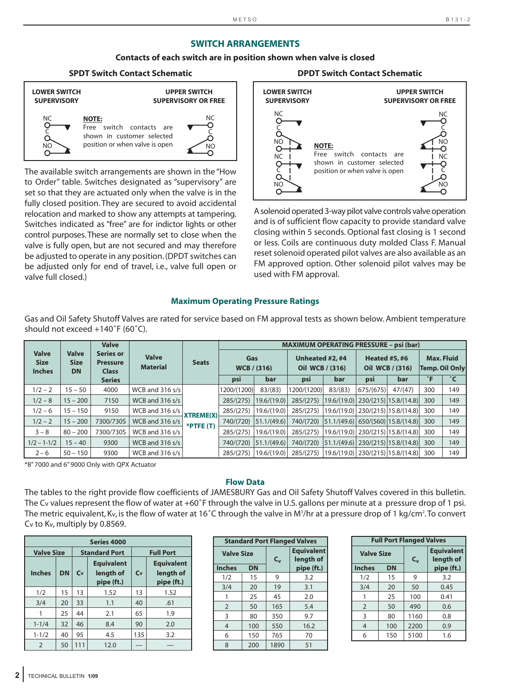#### **SWITCH ARRANGEMENTS**

#### **Contacts of each switch are in position shown when valve is closed**

#### **SPDT Switch Contact Schematic DPDT Switch Contact Schematic**



The available switch arrangements are shown in the "How to Order" table. Switches designated as "supervisory" are set so that they are actuated only when the valve is in the fully closed position. They are secured to avoid accidental relocation and marked to show any attempts at tampering. Switches indicated as "free" are for indictor lights or other control purposes. These are normally set to close when the valve is fully open, but are not secured and may therefore be adjusted to operate in any position. (DPDT switches can be adjusted only for end of travel, i.e., valve full open or valve full closed.)

#### **LOWER SWITCH SUPERVISORY UPPER SWITCH SUPERVISORY OR FREE**  $\Omega$ ò NO<sub>C</sub> NC<br>Q  $\bar{\mathsf{O}}$ NO<br>-O NC<br>-O C NO<br>-O **NOTE:** Free switch contacts are shown in customer selected position or when valve is open NC<br>O- $\bar{\rm o}$ NO<br>O-

A solenoid operated 3-way pilot valve controls valve operation and is of sufficient flow capacity to provide standard valve closing within 5 seconds. Optional fast closing is 1 second or less. Coils are continuous duty molded Class F. Manual reset solenoid operated pilot valves are also available as an FM approved option. Other solenoid pilot valves may be used with FM approval.

#### **Maximum Operating Pressure Ratings**

Gas and Oil Safety Shutoff Valves are rated for service based on FM approval tests as shown below. Ambient temperature should not exceed +140˚F (60˚C).

|                                              |                                          | <b>Valve</b>                                        |                                 |                  | <b>MAXIMUM OPERATING PRESSURE - psi (bar)</b> |                    |                                    |                                             |                      |                       |                                     |     |  |  |
|----------------------------------------------|------------------------------------------|-----------------------------------------------------|---------------------------------|------------------|-----------------------------------------------|--------------------|------------------------------------|---------------------------------------------|----------------------|-----------------------|-------------------------------------|-----|--|--|
| <b>Valve</b><br><b>Size</b><br><b>Inches</b> | <b>Valve</b><br><b>Size</b><br><b>DN</b> | <b>Series or</b><br><b>Pressure</b><br><b>Class</b> | <b>Valve</b><br><b>Material</b> | <b>Seats</b>     | Gas                                           | <b>WCB</b> / (316) | Unheated #2, #4<br>Oil WCB / (316) |                                             | <b>Heated #5, #6</b> | Oil WCB / (316)       | <b>Max. Fluid</b><br>Temp. Oil Only |     |  |  |
|                                              |                                          | <b>Series</b>                                       |                                 |                  | psi                                           | bar                | psi                                | bar                                         | psi                  | bar                   | $\degree$ F                         | °С  |  |  |
| $1/2 - 2$                                    | $15 - 50$                                | 4000                                                | WCB and $316 s/s$               |                  | 1200/(1200)                                   | 83/(83)            | 1200/(1200)                        | 83/(83)                                     | 675/(675)            | 47/(47)               | 300                                 | 149 |  |  |
| $1/2 - 8$                                    | $15 - 200$                               | 7150                                                | WCB and 316 s/s                 |                  | 285/(275)                                     | 19.6/(19.0)        | 285/(275)                          | 19.6/(19.0)                                 |                      | 230/(215) 15.8/(14.8) | 300                                 | 149 |  |  |
| $1/2 - 6$                                    | $15 - 150$                               | 9150                                                | WCB and $316 s/s$               | <b>XTREME(X)</b> | 285/(275)                                     | 19.6/(19.0)        | 285/(275)                          | 19.6/(19.0)   230/(215)   15.8/(14.8)       |                      |                       | 300                                 | 149 |  |  |
| $1/2 - 2$                                    | $15 - 200$                               | 7300/730S                                           | WCB and 316 s/s                 | $*$ PTFE $(T)$   | 740/(720)                                     | 51.1/(49.6)        | 740/(720)                          | $ 51.1/(49.6)  650/(560)  15.8/(14.8)  300$ |                      |                       |                                     | 149 |  |  |
| $3 - 8$                                      | $80 - 200$                               | 7300/730S                                           | WCB and 316 s/s                 |                  | 285/(275)                                     | 19.6/(19.0)        | 285/(275)                          | 19.6/(19.0)   230/(215)   15.8/(14.8)       |                      |                       | 300                                 | 149 |  |  |
| $1/2 - 1 - 1/2$                              | $15 - 40$                                | 9300                                                | WCB and 316 s/s                 |                  | 740/(720)                                     | 51.1/(49.6)        | 740/(720)                          | $ 51.1/(49.6) $ 230/(215) 15.8/(14.8) 300   |                      |                       |                                     | 149 |  |  |
| $2 - 6$                                      | $50 - 150$                               | 9300                                                | WCB and 316 $s/s$               |                  | 285/(275)                                     | 19.6/(19.0)        | 285/(275)                          | $19.6/(19.0)$ 230/(215) 15.8/(14.8)         |                      |                       | 300                                 | 149 |  |  |

\*8" 7000 and 6" 9000 Only with QPX Actuator

#### **Flow Data**

The tables to the right provide flow coefficients of JAMESBURY Gas and Oil Safety Shutoff Valves covered in this bulletin. The Cv values represent the flow of water at +60˚F through the valve in U.S. gallons per minute at a pressure drop of 1 psi. The metric equivalent, Kv, is the flow of water at 16°C through the valve in M∛/hr at a pressure drop of 1 kg/cm².To convert Cv to Kv, multiply by 0.8569.

| <b>Series 4000</b> |           |     |                                              |     |                                              |  |  |  |  |  |  |  |  |
|--------------------|-----------|-----|----------------------------------------------|-----|----------------------------------------------|--|--|--|--|--|--|--|--|
| <b>Valve Size</b>  |           |     | <b>Standard Port</b>                         |     | <b>Full Port</b>                             |  |  |  |  |  |  |  |  |
| <b>Inches</b>      | <b>DN</b> | Cv  | <b>Equivalent</b><br>length of<br>pipe (ft.) | Cv  | <b>Equivalent</b><br>length of<br>pipe (ft.) |  |  |  |  |  |  |  |  |
| 1/2                | 15        | 13  | 1.52                                         | 13  | 1.52                                         |  |  |  |  |  |  |  |  |
| 3/4                | 20        | 33  | 1.1                                          | 40  | .61                                          |  |  |  |  |  |  |  |  |
|                    | 25        | 44  | 2.1                                          | 65  | 1.9                                          |  |  |  |  |  |  |  |  |
| $1 - 1/4$          | 32        | 46  | 8.4                                          | 90  | 2.0                                          |  |  |  |  |  |  |  |  |
| $1 - 1/2$          | 40        | 95  | 4.5                                          | 135 | 3.2                                          |  |  |  |  |  |  |  |  |
| $\overline{2}$     | 50        | 111 | 12.0                                         |     |                                              |  |  |  |  |  |  |  |  |

|                   |           |         | <b>Standard Port Flanged Valves</b> |
|-------------------|-----------|---------|-------------------------------------|
| <b>Valve Size</b> |           | $C_{v}$ | <b>Equivalent</b><br>length of      |
| <b>Inches</b>     | <b>DN</b> |         | pipe (ft.)                          |
| 1/2               | 15        | 9       | 3.2                                 |
| 3/4               | 20        | 19      | 3.1                                 |
| 1                 | 25        | 45      | 2.0                                 |
| $\overline{2}$    | 50        | 165     | 5.4                                 |
| 3                 | 80        | 350     | 9.7                                 |
| $\overline{4}$    | 100       | 550     | 16.2                                |
| 6                 | 150       | 765     | 70                                  |
| 8                 | 200       | 1890    | 51                                  |

|                   | <b>Full Port Flanged Valves</b> |         |                                |
|-------------------|---------------------------------|---------|--------------------------------|
| <b>Valve Size</b> |                                 | $C_{v}$ | <b>Equivalent</b><br>length of |
| <b>Inches</b>     | <b>DN</b>                       |         | pipe (ft.)                     |
| 1/2               | 15                              | 9       | 3.2                            |
| 3/4               | 20                              | 50      | 0.45                           |
|                   | 25                              | 100     | 0.41                           |
| 2                 | 50                              | 490     | 0.6                            |
| 3                 | 80                              | 1160    | 0.8                            |
| 4                 | 100                             | 2200    | 0.9                            |
| 6                 | 150                             | 5100    | 1.6                            |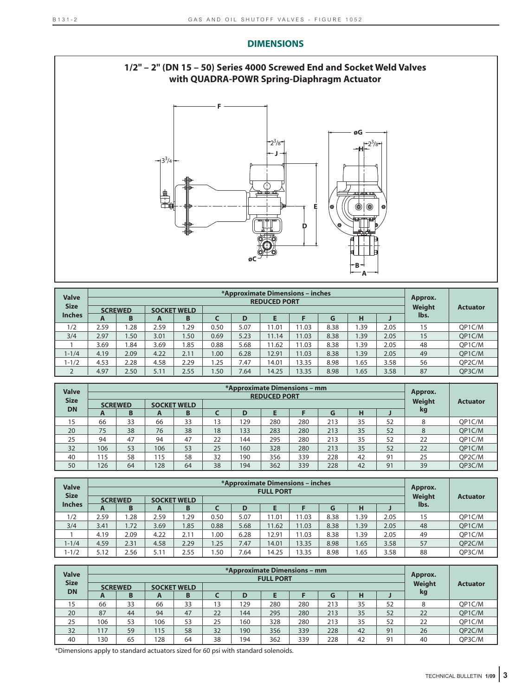

| <b>Valve</b><br><b>Size</b> |      |                     |      |                         |      |      | *Approximate Dimensions - inches<br><b>REDUCED PORT</b> |       |           |          |      | Approx.<br><b>Weight</b> | <b>Actuator</b> |
|-----------------------------|------|---------------------|------|-------------------------|------|------|---------------------------------------------------------|-------|-----------|----------|------|--------------------------|-----------------|
| <b>Inches</b>               | A    | <b>SCREWED</b><br>B | A    | <b>SOCKET WELD</b><br>B |      | D    |                                                         |       | lbs.      |          |      |                          |                 |
| 1/2                         | 2.59 | 1.28                | 2.59 | .29                     | 0.50 | 5.07 | 11.01                                                   | 11.03 | G<br>8.38 | н<br>.39 | 2.05 | 15                       | OP1C/M          |
| 3/4                         | 2.97 | 1.50                | 3.01 | 1.50                    | 0.69 | 5.23 | 11.14                                                   | 11.03 | 8.38      | .39      | 2.05 | 15                       | OP1C/M          |
|                             | 3.69 | 1.84                | 3.69 | 1.85                    | 0.88 | 5.68 | 11.62                                                   | 11.03 | 8.38      | .39      | 2.05 | 48                       | OP1C/M          |
| $1 - 1/4$                   | 4.19 | 2.09                | 4.22 | 2.11                    | 00.1 | 6.28 | 12.91                                                   | 11.03 | 8.38      | 1.39     | 2.05 | 49                       | OP1C/M          |
| $1 - 1/2$                   | 4.53 | 2.28                | 4.58 | 2.29                    | .25  | 7.47 | 14.01                                                   | 13.35 | 8.98      | 1.65     | 3.58 | 56                       | OP2C/M          |
| ∠                           | 4.97 | 2.50                | 5.11 | 2.55                    | 1.50 | 7.64 | 14.25                                                   | 13.35 | 8.98      | 1.65     | 3.58 | 87                       | QP3C/M          |

| <b>Valve</b> |      |                |     | Approx.            |    |     |     |     |     |    |    |               |                 |
|--------------|------|----------------|-----|--------------------|----|-----|-----|-----|-----|----|----|---------------|-----------------|
| <b>Size</b>  |      | <b>SCREWED</b> |     | <b>SOCKET WELD</b> |    |     |     |     |     |    |    | <b>Weight</b> | <b>Actuator</b> |
| <b>DN</b>    | A    | B              | A   | B                  |    | D   |     |     | G   | н  |    | kg            |                 |
| 15           | 66   | 33             | 66  | 33                 | 13 | 29  | 280 | 280 | 213 | 35 | 52 | 8             | OP1C/M          |
| 20           | 75   | 38             | 76  | 38                 | 18 | 133 | 283 | 280 | 213 | 35 | 52 | 8             | OP1C/M          |
| 25           | 94   | 47             | 94  | 47                 | 22 | 144 | 295 | 280 | 213 | 35 | 52 | 22            | OP1C/M          |
| 32           | 106  | 53             | 106 | 53                 | 25 | 160 | 328 | 280 | 213 | 35 | 52 | 22            | QP1C/M          |
| 40           | l 15 | 58             | 115 | 58                 | 32 | 190 | 356 | 339 | 228 | 42 | 91 | 25            | OP2C/M          |
| 50           | 126  | 64             | 128 | 64                 | 38 | 194 | 362 | 339 | 228 | 42 | 91 | 39            | OP3C/M          |

| <b>Valve</b>  |      |                |                    |      |        |                 | *Approximate Dimensions – inches<br><b>FULL PORT</b> |       |      |      |      | Approx. |        |
|---------------|------|----------------|--------------------|------|--------|-----------------|------------------------------------------------------|-------|------|------|------|---------|--------|
| <b>Size</b>   |      | <b>SCREWED</b> | <b>SOCKET WELD</b> |      | Weight | <b>Actuator</b> |                                                      |       |      |      |      |         |        |
| <b>Inches</b> | A    | B              | A                  | B    |        | D               |                                                      |       | G    | н    |      | lbs.    |        |
| 1/2           | 2.59 | 1.28           | 2.59               | .29  | 0.50   | 5.07            | 11.01                                                | 11.03 | 8.38 | .39  | 2.05 | 15      | OP1C/M |
| 3/4           | 3.41 | 1.72           | 3.69               | .85  | 0.88   | 5.68            | 11.62                                                | 11.03 | 8.38 | .39  | 2.05 | 48      | OP1C/M |
|               | 4.19 | 2.09           | 4.22               | 2.11 | 0.00   | 6.28            | 12.91                                                | 11.03 | 8.38 | .39  | 2.05 | 49      | OP1C/M |
| $1 - 1/4$     | 4.59 | 2.31           | 4.58               | 2.29 | 1.25   | 7.47            | 14.01                                                | 13.35 | 8.98 | 1.65 | 3.58 | 57      | OP2C/M |
| $1 - 1/2$     | 5.12 | 2.56           | 5.11               | 2.55 | 1.50   | 7.64            | 14.25                                                | 13.35 | 8.98 | 1.65 | 3.58 | 88      | OP3C/M |

| <b>Valve</b> |     |                |     | Approx.            |    |     |     |     |     |    |    |               |                 |
|--------------|-----|----------------|-----|--------------------|----|-----|-----|-----|-----|----|----|---------------|-----------------|
| <b>Size</b>  |     | <b>SCREWED</b> |     | <b>SOCKET WELD</b> |    |     |     |     |     |    |    | <b>Weight</b> | <b>Actuator</b> |
| <b>DN</b>    | A   | B              | A   | B                  |    | D   |     |     | G   | H  |    | kg            |                 |
| 15           | 66  | 33             | 66  | 33                 | 13 | 29  | 280 | 280 | 213 | 35 | 52 | 8             | OP1C/M          |
| 20           | 87  | 44             | 94  | 47                 | 22 | 144 | 295 | 280 | 213 | 35 | 52 | 22            | OP1C/M          |
| 25           | 106 | 53             | 106 | 53                 | 25 | 160 | 328 | 280 | 213 | 35 | 52 | 22            | OP1C/M          |
| 32           | 117 | 59             | 115 | 58                 | 32 | 190 | 356 | 339 | 228 | 42 | 91 | 26            | OP2C/M          |
| 40           | 30  | 65             | 128 | 64                 | 38 | 194 | 362 | 339 | 228 | 42 | 91 | 40            | OP3C/M          |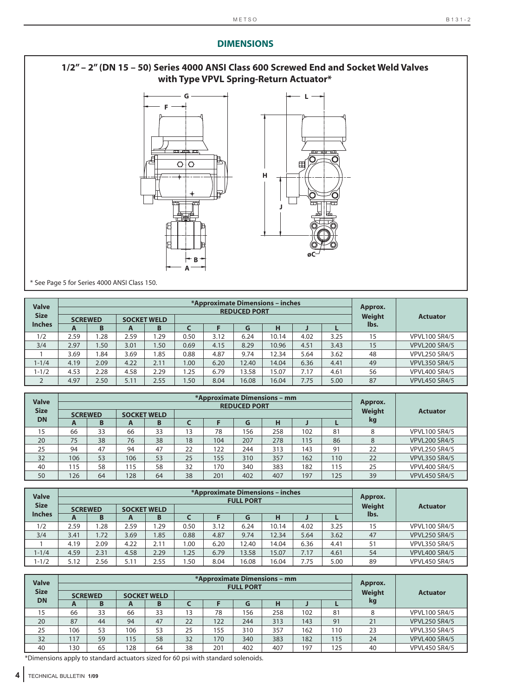# **1/2" – 2" (DN 15 – 50) Series 4000 ANSI Class 600 Screwed End and Socket Weld Valves with Type VPVL Spring-Return Actuator\***



\* See Page 5 for Series 4000 ANSI Class 150.

| <b>Valve</b>  | *Approximate Dimensions - inches<br><b>REDUCED PORT</b> |                   |                    |      |      |      |       |       |        |                 | Approx. |                      |
|---------------|---------------------------------------------------------|-------------------|--------------------|------|------|------|-------|-------|--------|-----------------|---------|----------------------|
| <b>Size</b>   | <b>SCREWED</b>                                          |                   | <b>SOCKET WELD</b> |      |      |      |       |       | Weight | <b>Actuator</b> |         |                      |
| <b>Inches</b> | A                                                       | в                 | A                  | B    |      |      | G     | н     |        |                 | lbs.    |                      |
| 1/2           | 2.59                                                    | .28               | 2.59               | .29  | 0.50 | 3.12 | 6.24  | 10.14 | 4.02   | 3.25            | 15      | <b>VPVL100 SR4/5</b> |
| 3/4           | 2.97                                                    | 1.50 <sub>1</sub> | 3.01               | 1.50 | 0.69 | 4.15 | 8.29  | 10.96 | 4.51   | 3.43            | 15      | <b>VPVL200 SR4/5</b> |
|               | 3.69                                                    | .84               | 3.69               | 1.85 | 0.88 | 4.87 | 9.74  | 12.34 | 5.64   | 3.62            | 48      | <b>VPVL250 SR4/5</b> |
| $1 - 1/4$     | 4.19                                                    | 2.09              | 4.22               | 2.11 | 1.00 | 6.20 | 2.40  | 14.04 | 6.36   | 4.41            | 49      | <b>VPVL350 SR4/5</b> |
| $1 - 1/2$     | 4.53                                                    | 2.28              | 4.58               | 2.29 | .25  | 6.79 | 13.58 | 15.07 | 7.17   | 4.61            | 56      | <b>VPVL400 SR4/5</b> |
|               | 4.97                                                    | 2.50              | 5.11               | 2.55 | 1.50 | 8.04 | 16.08 | 16.04 | 7.75   | 5.00            | 87      | <b>VPVL450 SR4/5</b> |

| <b>Valve</b> | *Approximate Dimensions - mm<br><b>REDUCED PORT</b> |    |     |                    |    |     |     |        |                 |     | Approx. |                      |
|--------------|-----------------------------------------------------|----|-----|--------------------|----|-----|-----|--------|-----------------|-----|---------|----------------------|
| <b>Size</b>  | <b>SCREWED</b>                                      |    |     | <b>SOCKET WELD</b> |    |     |     | Weight | <b>Actuator</b> |     |         |                      |
| <b>DN</b>    | A                                                   | в  | A   | B                  |    |     | G   | н      |                 |     | kg      |                      |
| 15           | 66                                                  | 33 | 66  | 33                 | 13 | 78  | 156 | 258    | 102             | 81  | 8       | <b>VPVL100 SR4/5</b> |
| 20           | 75                                                  | 38 | 76  | 38                 | 18 | 104 | 207 | 278    | 115             | 86  | 8       | <b>VPVL200 SR4/5</b> |
| 25           | 94                                                  | 47 | 94  | 47                 | 22 | 122 | 244 | 313    | 143             | 91  | 22      | <b>VPVL250 SR4/5</b> |
| 32           | 106                                                 | 53 | 106 | 53                 | 25 | 155 | 310 | 357    | 162             | 110 | 22      | <b>VPVL350 SR4/5</b> |
| 40           | 115                                                 | 58 | 115 | 58                 | 32 | 170 | 340 | 383    | 182             | 115 | 25      | <b>VPVL400 SR4/5</b> |
| 50           | 126                                                 | 64 | 128 | 64                 | 38 | 201 | 402 | 407    | 197             | 125 | 39      | <b>VPVL450 SR4/5</b> |

| <b>Valve</b>  |      |                                      |      |      |      | *Approximate Dimensions – inches | <b>FULL PORT</b> |        | Approx.         |      |      |                      |
|---------------|------|--------------------------------------|------|------|------|----------------------------------|------------------|--------|-----------------|------|------|----------------------|
| <b>Size</b>   |      | <b>SOCKET WELD</b><br><b>SCREWED</b> |      |      |      |                                  |                  | Weight | <b>Actuator</b> |      |      |                      |
| <b>Inches</b> | A    | B                                    | A    | B    |      |                                  | G                | н      |                 |      | lbs. |                      |
| 1/2           | 2.59 | .28                                  | 2.59 | .29  | 0.50 | 3.12                             | 6.24             | 10.14  | 4.02            | 3.25 | 15   | <b>VPVL100 SR4/5</b> |
| 3/4           | 3.41 | 1.72                                 | 3.69 | 1.85 | 0.88 | 4.87                             | 9.74             | 12.34  | 5.64            | 3.62 | 47   | <b>VPVL250 SR4/5</b> |
|               | 4.19 | 2.09                                 | 4.22 | 2.11 | 0.00 | 6.20                             | 2.40             | 14.04  | 6.36            | 4.41 | 51   | <b>VPVL350 SR4/5</b> |
| $1 - 1/4$     | 4.59 | 2.31                                 | 4.58 | 2.29 | 1.25 | 6.79                             | 13.58            | 15.07  | 7.17            | 4.61 | 54   | <b>VPVL400 SR4/5</b> |
| $1 - 1/2$     | 5.12 | 2.56                                 | 5.11 | 2.55 | .50  | 8.04                             | 6.08             | 16.04  | 7.75            | 5.00 | 89   | <b>VPVL450 SR4/5</b> |

| <b>Valve</b> |     |                |     |                    |    |     | <b>FULL PORT</b> | *Approximate Dimensions – mm |     |     | Approx.       |                      |
|--------------|-----|----------------|-----|--------------------|----|-----|------------------|------------------------------|-----|-----|---------------|----------------------|
| <b>Size</b>  |     | <b>SCREWED</b> |     | <b>SOCKET WELD</b> |    |     |                  |                              |     |     | <b>Weight</b> | <b>Actuator</b>      |
| <b>DN</b>    | A   | В              | A   | B                  |    |     | G                | н                            |     |     | kg            |                      |
| 15           | 66  | 33             | 66  | 33                 | 13 | 78  | 156              | 258                          | 102 | 81  |               | <b>VPVL100 SR4/5</b> |
| 20           | 87  | 44             | 94  | 47                 | 22 | 122 | 244              | 313                          | 143 | 91  | 21            | <b>VPVL250 SR4/5</b> |
| 25           | 106 | 53             | 106 | 53                 | 25 | 155 | 310              | 357                          | 162 | 110 | 23            | <b>VPVL350 SR4/5</b> |
| 32           | 117 | 59             | 115 | 58                 | 32 | 170 | 340              | 383                          | 182 | 115 | 24            | <b>VPVL400 SR4/5</b> |
| 40           | 130 | 65             | 128 | 64                 | 38 | 201 | 402              | 407                          | 197 | 125 | 40            | <b>VPVL450 SR4/5</b> |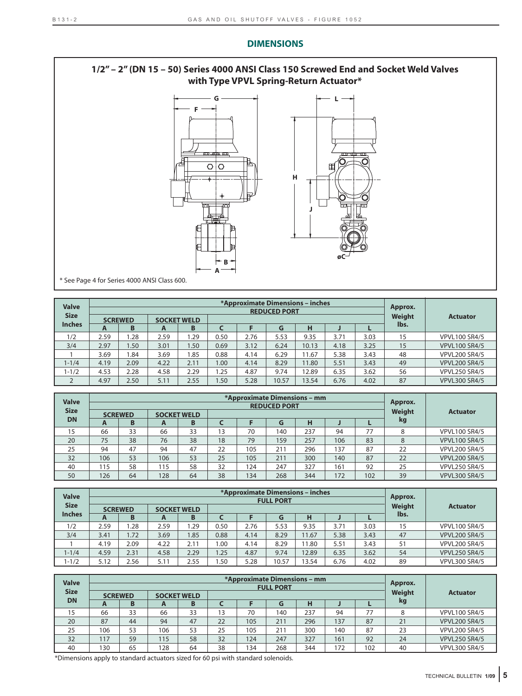# **1/2" – 2" (DN 15 – 50) Series 4000 ANSI Class 150 Screwed End and Socket Weld Valves with Type VPVL Spring-Return Actuator\***



\* See Page 4 for Series 4000 ANSI Class 600.

| <b>Valve</b>  |      |                |      |                    |      | *Approximate Dimensions - inches | <b>REDUCED PORT</b> |       |      |      | Approx. |                      |
|---------------|------|----------------|------|--------------------|------|----------------------------------|---------------------|-------|------|------|---------|----------------------|
| <b>Size</b>   |      | <b>SCREWED</b> |      | <b>SOCKET WELD</b> |      |                                  |                     |       |      |      | Weight  | <b>Actuator</b>      |
| <b>Inches</b> | A    | в              | A    |                    | lbs. |                                  |                     |       |      |      |         |                      |
| 1/2           | 2.59 | .28            | 2.59 | .29                | 0.50 | 2.76                             | 5.53                | 9.35  | 3.71 | 3.03 | 15      | <b>VPVL100 SR4/5</b> |
| 3/4           | 2.97 | .50            | 3.01 | 1.50               | 0.69 | 3.12                             | 6.24                | 10.13 | 4.18 | 3.25 | 15      | <b>VPVL100 SR4/5</b> |
|               | 3.69 | .84            | 3.69 | 1.85               | 0.88 | 4.14                             | 6.29                | 1.67  | 5.38 | 3.43 | 48      | <b>VPVL200 SR4/5</b> |
| $1 - 1/4$     | 4.19 | 2.09           | 4.22 | 2.11               | 00.1 | 4.14                             | 8.29                | 11.80 | 5.51 | 3.43 | 49      | <b>VPVL200 SR4/5</b> |
| $1 - 1/2$     | 4.53 | 2.28           | 4.58 | 2.29               | .25  | 4.87                             | 9.74                | 12.89 | 6.35 | 3.62 | 56      | <b>VPVL250 SR4/5</b> |
| ▵             | 4.97 | 2.50           | 5.11 | 2.55               | .50  | 5.28                             | 10.57               | 13.54 | 6.76 | 4.02 | 87      | <b>VPVL300 SR4/5</b> |

| <b>Valve</b> |     |                |                    |    |    |     | <b>REDUCED PORT</b> | *Approximate Dimensions – mm |     |     | Approx. |                      |
|--------------|-----|----------------|--------------------|----|----|-----|---------------------|------------------------------|-----|-----|---------|----------------------|
| <b>Size</b>  |     | <b>SCREWED</b> | <b>SOCKET WELD</b> |    |    |     |                     |                              |     |     | Weight  | <b>Actuator</b>      |
| <b>DN</b>    | A   | В              | A                  | B  |    |     | kg                  |                              |     |     |         |                      |
| 15           | 66  | 33             | 66                 | 33 | 13 | 70  | 140                 | 237                          | 94  | 77  | 8       | <b>VPVL100 SR4/5</b> |
| 20           | 75  | 38             | 76                 | 38 | 18 | 79  | 159                 | 257                          | 106 | 83  | 8       | <b>VPVL100 SR4/5</b> |
| 25           | 94  | 47             | 94                 | 47 | 22 | 105 | 211                 | 296                          | 137 | 87  | 22      | <b>VPVL200 SR4/5</b> |
| 32           | 106 | 53             | 106                | 53 | 25 | 105 | 211                 | 300                          | 140 | 87  | 22      | <b>VPVL200 SR4/5</b> |
| 40           | 115 | 58             | 115                | 58 | 32 | 124 | 247                 | 327                          | 161 | 92  | 25      | <b>VPVL250 SR4/5</b> |
| 50           | 126 | 64             | 128                | 64 | 38 | 134 | 268                 | 344                          | 172 | 102 | 39      | <b>VPVL300 SR4/5</b> |

| <b>Valve</b>  |      |                |                    |      |      |      | *Approximate Dimensions – inches<br><b>FULL PORT</b> |       |      |      | Approx. |                      |
|---------------|------|----------------|--------------------|------|------|------|------------------------------------------------------|-------|------|------|---------|----------------------|
| <b>Size</b>   |      | <b>SCREWED</b> | <b>SOCKET WELD</b> |      |      |      |                                                      |       |      |      | Weight  | <b>Actuator</b>      |
| <b>Inches</b> | A    | B              | A                  | B    |      |      | G                                                    | Н     |      |      | lbs.    |                      |
| 1/2           | 2.59 | .28            | 2.59               | .29  | 0.50 | 2.76 | 5.53                                                 | 9.35  | 3.71 | 3.03 | 15      | <b>VPVL100 SR4/5</b> |
| 3/4           | 3.41 | 1.72           | 3.69               | .85  | 0.88 | 4.14 | 8.29                                                 | 11.67 | 5.38 | 3.43 | 47      | <b>VPVL200 SR4/5</b> |
|               | 4.19 | 2.09           | 4.22               | 2.11 | .00. | 4.14 | 8.29                                                 | 1.80  | 5.51 | 3.43 | 51      | <b>VPVL200 SR4/5</b> |
| $1 - 1/4$     | 4.59 | 2.31           | 4.58               | 2.29 | .25  | 4.87 | 9.74                                                 | 12.89 | 6.35 | 3.62 | 54      | <b>VPVL250 SR4/5</b> |
| $1 - 1/2$     | 5.12 | 2.56           | 5.11               | 2.55 | .50  | 5.28 | 10.57                                                | 3.54  | 6.76 | 4.02 | 89      | <b>VPVL300 SR4/5</b> |

| <b>Valve</b> |                |    |     |                    |    |     | *Approximate Dimensions – mm |     |     |     | Approx. |                      |
|--------------|----------------|----|-----|--------------------|----|-----|------------------------------|-----|-----|-----|---------|----------------------|
| <b>Size</b>  |                |    |     |                    |    |     | <b>FULL PORT</b>             |     |     |     |         |                      |
|              | <b>SCREWED</b> |    |     | <b>SOCKET WELD</b> |    |     |                              |     |     |     | Weight  | <b>Actuator</b>      |
| <b>DN</b>    | $\mathbf{A}$   | B  | A   | B                  |    |     | G                            | н   |     |     | kg      |                      |
| 15           | 66             | 33 | 66  | 33                 | 13 | 70  | 140                          | 237 | 94  | 77  |         | <b>VPVL100 SR4/5</b> |
| 20           | 87             | 44 | 94  | 47                 | 22 | 105 | 211                          | 296 | 137 | 87  | 21      | <b>VPVL200 SR4/5</b> |
| 25           | 106            | 53 | 106 | 53                 | 25 | 105 | 211                          | 300 | 140 | 87  | 23      | <b>VPVL200 SR4/5</b> |
| 32           | 117            | 59 | 115 | 58                 | 32 | 124 | 247                          | 327 | 161 | 92  | 24      | <b>VPVL250 SR4/5</b> |
| 40           | 130            | 65 | 128 | 64                 | 38 | 134 | 268                          | 344 | 72  | 102 | 40      | <b>VPVL300 SR4/5</b> |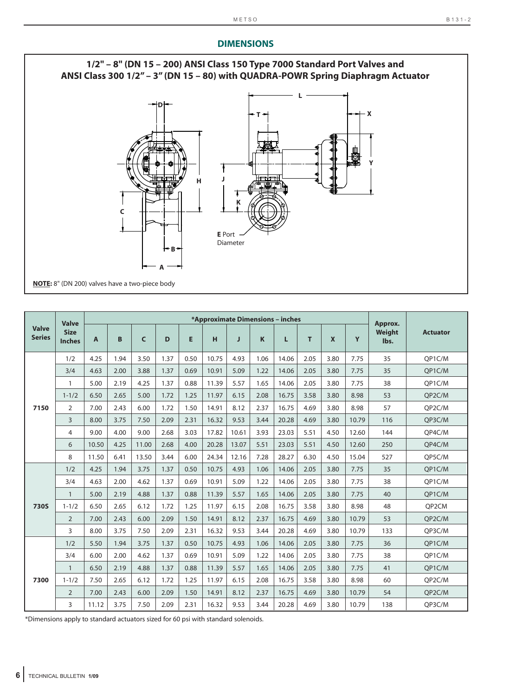

|                               | <b>Valve</b>                 |       |      |       |      |      |       |       |      | *Approximate Dimensions - inches |      |                           |       | Approx.        |                 |
|-------------------------------|------------------------------|-------|------|-------|------|------|-------|-------|------|----------------------------------|------|---------------------------|-------|----------------|-----------------|
| <b>Valve</b><br><b>Series</b> | <b>Size</b><br><b>Inches</b> | A     | B    | C     | D    | E    | H     | J     | K    | L                                | т    | $\boldsymbol{\mathsf{x}}$ | Y     | Weight<br>lbs. | <b>Actuator</b> |
|                               | 1/2                          | 4.25  | 1.94 | 3.50  | 1.37 | 0.50 | 10.75 | 4.93  | 1.06 | 14.06                            | 2.05 | 3.80                      | 7.75  | 35             | OP1C/M          |
|                               | 3/4                          | 4.63  | 2.00 | 3.88  | 1.37 | 0.69 | 10.91 | 5.09  | 1.22 | 14.06                            | 2.05 | 3.80                      | 7.75  | 35             | OP1C/M          |
|                               | $\mathbf{1}$                 | 5.00  | 2.19 | 4.25  | 1.37 | 0.88 | 11.39 | 5.57  | 1.65 | 14.06                            | 2.05 | 3.80                      | 7.75  | 38             | QP1C/M          |
|                               | $1 - 1/2$                    | 6.50  | 2.65 | 5.00  | 1.72 | 1.25 | 11.97 | 6.15  | 2.08 | 16.75                            | 3.58 | 3.80                      | 8.98  | 53             | QP2C/M          |
| 7150                          | $\overline{2}$               | 7.00  | 2.43 | 6.00  | 1.72 | 1.50 | 14.91 | 8.12  | 2.37 | 16.75                            | 4.69 | 3.80                      | 8.98  | 57             | QP2C/M          |
|                               | 3                            | 8.00  | 3.75 | 7.50  | 2.09 | 2.31 | 16.32 | 9.53  | 3.44 | 20.28                            | 4.69 | 3.80                      | 10.79 | 116            | QP3C/M          |
|                               | 4                            | 9.00  | 4.00 | 9.00  | 2.68 | 3.03 | 17.82 | 10.61 | 3.93 | 23.03                            | 5.51 | 4.50                      | 12.60 | 144            | QP4C/M          |
|                               | 6                            | 10.50 | 4.25 | 11.00 | 2.68 | 4.00 | 20.28 | 13.07 | 5.51 | 23.03                            | 5.51 | 4.50                      | 12.60 | 250            | QP4C/M          |
|                               | 8                            | 11.50 | 6.41 | 13.50 | 3.44 | 6.00 | 24.34 | 12.16 | 7.28 | 28.27                            | 6.30 | 4.50                      | 15.04 | 527            | QP5C/M          |
|                               | 1/2                          | 4.25  | 1.94 | 3.75  | 1.37 | 0.50 | 10.75 | 4.93  | 1.06 | 14.06                            | 2.05 | 3.80                      | 7.75  | 35             | QP1C/M          |
|                               | 3/4                          | 4.63  | 2.00 | 4.62  | 1.37 | 0.69 | 10.91 | 5.09  | 1.22 | 14.06                            | 2.05 | 3.80                      | 7.75  | 38             | QP1C/M          |
|                               | $\mathbf{1}$                 | 5.00  | 2.19 | 4.88  | 1.37 | 0.88 | 11.39 | 5.57  | 1.65 | 14.06                            | 2.05 | 3.80                      | 7.75  | 40             | OP1C/M          |
| <b>730S</b>                   | $1 - 1/2$                    | 6.50  | 2.65 | 6.12  | 1.72 | 1.25 | 11.97 | 6.15  | 2.08 | 16.75                            | 3.58 | 3.80                      | 8.98  | 48             | OP2CM           |
|                               | 2                            | 7.00  | 2.43 | 6.00  | 2.09 | 1.50 | 14.91 | 8.12  | 2.37 | 16.75                            | 4.69 | 3.80                      | 10.79 | 53             | QP2C/M          |
|                               | 3                            | 8.00  | 3.75 | 7.50  | 2.09 | 2.31 | 16.32 | 9.53  | 3.44 | 20.28                            | 4.69 | 3.80                      | 10.79 | 133            | OP3C/M          |
|                               | 1/2                          | 5.50  | 1.94 | 3.75  | 1.37 | 0.50 | 10.75 | 4.93  | 1.06 | 14.06                            | 2.05 | 3.80                      | 7.75  | 36             | QP1C/M          |
|                               | 3/4                          | 6.00  | 2.00 | 4.62  | 1.37 | 0.69 | 10.91 | 5.09  | 1.22 | 14.06                            | 2.05 | 3.80                      | 7.75  | 38             | QP1C/M          |
|                               | $\mathbf{1}$                 | 6.50  | 2.19 | 4.88  | 1.37 | 0.88 | 11.39 | 5.57  | 1.65 | 14.06                            | 2.05 | 3.80                      | 7.75  | 41             | OP1C/M          |
| 7300                          | $1 - 1/2$                    | 7.50  | 2.65 | 6.12  | 1.72 | 1.25 | 11.97 | 6.15  | 2.08 | 16.75                            | 3.58 | 3.80                      | 8.98  | 60             | OP2C/M          |
|                               | 2                            | 7.00  | 2.43 | 6.00  | 2.09 | 1.50 | 14.91 | 8.12  | 2.37 | 16.75                            | 4.69 | 3.80                      | 10.79 | 54             | OP2C/M          |
|                               | 3                            | 11.12 | 3.75 | 7.50  | 2.09 | 2.31 | 16.32 | 9.53  | 3.44 | 20.28                            | 4.69 | 3.80                      | 10.79 | 138            | OP3C/M          |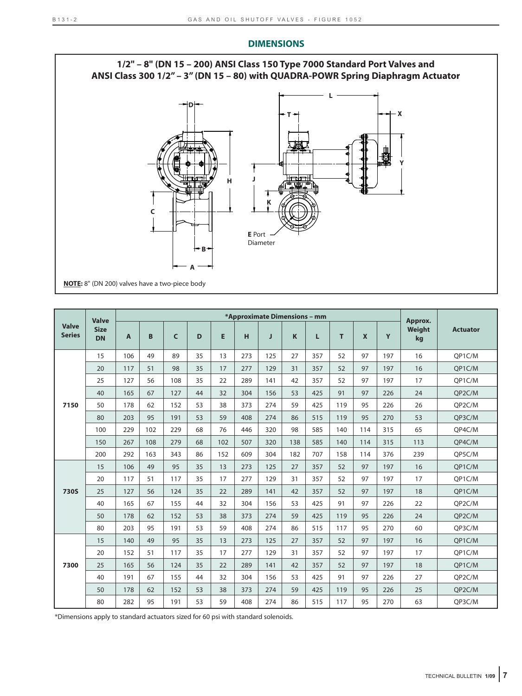

|                               | <b>Valve</b>             |                |     |     |    |     |     | *Approximate Dimensions - mm |     |     |     |              |     | Approx.      |                 |
|-------------------------------|--------------------------|----------------|-----|-----|----|-----|-----|------------------------------|-----|-----|-----|--------------|-----|--------------|-----------------|
| <b>Valve</b><br><b>Series</b> | <b>Size</b><br><b>DN</b> | $\overline{A}$ | B   | C   | D  | E   | H   | J                            | K   | L   | T   | $\mathbf{x}$ | Y   | Weight<br>kg | <b>Actuator</b> |
|                               | 15                       | 106            | 49  | 89  | 35 | 13  | 273 | 125                          | 27  | 357 | 52  | 97           | 197 | 16           | OP1C/M          |
|                               | 20                       | 117            | 51  | 98  | 35 | 17  | 277 | 129                          | 31  | 357 | 52  | 97           | 197 | 16           | OP1C/M          |
|                               | 25                       | 127            | 56  | 108 | 35 | 22  | 289 | 141                          | 42  | 357 | 52  | 97           | 197 | 17           | QP1C/M          |
|                               | 40                       | 165            | 67  | 127 | 44 | 32  | 304 | 156                          | 53  | 425 | 91  | 97           | 226 | 24           | OP2C/M          |
| 7150                          | 50                       | 178            | 62  | 152 | 53 | 38  | 373 | 274                          | 59  | 425 | 119 | 95           | 226 | 26           | QP2C/M          |
|                               | 80                       | 203            | 95  | 191 | 53 | 59  | 408 | 274                          | 86  | 515 | 119 | 95           | 270 | 53           | OP3C/M          |
|                               | 100                      | 229            | 102 | 229 | 68 | 76  | 446 | 320                          | 98  | 585 | 140 | 114          | 315 | 65           | OP4C/M          |
|                               | 150                      | 267            | 108 | 279 | 68 | 102 | 507 | 320                          | 138 | 585 | 140 | 114          | 315 | 113          | OP4C/M          |
|                               | 200                      | 292            | 163 | 343 | 86 | 152 | 609 | 304                          | 182 | 707 | 158 | 114          | 376 | 239          | QP5C/M          |
|                               | 15                       | 106            | 49  | 95  | 35 | 13  | 273 | 125                          | 27  | 357 | 52  | 97           | 197 | 16           | QP1C/M          |
|                               | 20                       | 117            | 51  | 117 | 35 | 17  | 277 | 129                          | 31  | 357 | 52  | 97           | 197 | 17           | QP1C/M          |
| <b>730S</b>                   | 25                       | 127            | 56  | 124 | 35 | 22  | 289 | 141                          | 42  | 357 | 52  | 97           | 197 | 18           | QP1C/M          |
|                               | 40                       | 165            | 67  | 155 | 44 | 32  | 304 | 156                          | 53  | 425 | 91  | 97           | 226 | 22           | QP2C/M          |
|                               | 50                       | 178            | 62  | 152 | 53 | 38  | 373 | 274                          | 59  | 425 | 119 | 95           | 226 | 24           | OP2C/M          |
|                               | 80                       | 203            | 95  | 191 | 53 | 59  | 408 | 274                          | 86  | 515 | 117 | 95           | 270 | 60           | OP3C/M          |
|                               | 15                       | 140            | 49  | 95  | 35 | 13  | 273 | 125                          | 27  | 357 | 52  | 97           | 197 | 16           | QP1C/M          |
|                               | 20                       | 152            | 51  | 117 | 35 | 17  | 277 | 129                          | 31  | 357 | 52  | 97           | 197 | 17           | OP1C/M          |
| 7300                          | 25                       | 165            | 56  | 124 | 35 | 22  | 289 | 141                          | 42  | 357 | 52  | 97           | 197 | 18           | QP1C/M          |
|                               | 40                       | 191            | 67  | 155 | 44 | 32  | 304 | 156                          | 53  | 425 | 91  | 97           | 226 | 27           | OP2C/M          |
|                               | 50                       | 178            | 62  | 152 | 53 | 38  | 373 | 274                          | 59  | 425 | 119 | 95           | 226 | 25           | OP2C/M          |
|                               | 80                       | 282            | 95  | 191 | 53 | 59  | 408 | 274                          | 86  | 515 | 117 | 95           | 270 | 63           | QP3C/M          |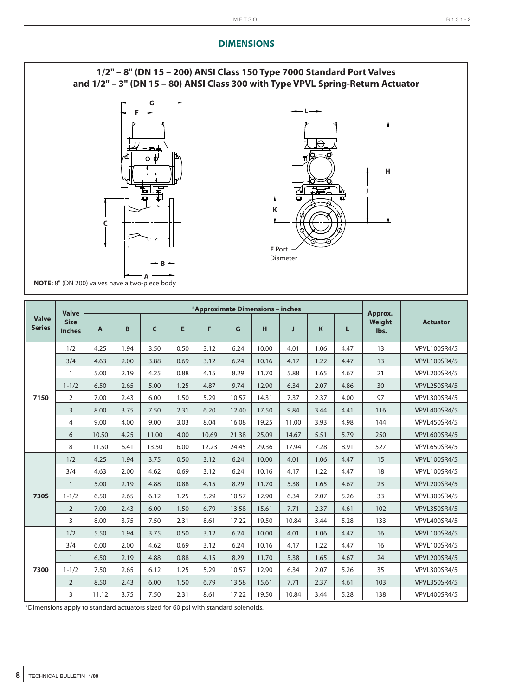

|                               | <b>Valve</b>                 |              |      |              |      | *Approximate Dimensions - inches |       |       |       |      |      | Approx.        |                     |
|-------------------------------|------------------------------|--------------|------|--------------|------|----------------------------------|-------|-------|-------|------|------|----------------|---------------------|
| <b>Valve</b><br><b>Series</b> | <b>Size</b><br><b>Inches</b> | $\mathbf{A}$ | B    | $\mathsf{C}$ | E    | F.                               | G     | H     | J     | K    | L    | Weight<br>lbs. | <b>Actuator</b>     |
|                               | 1/2                          | 4.25         | 1.94 | 3.50         | 0.50 | 3.12                             | 6.24  | 10.00 | 4.01  | 1.06 | 4.47 | 13             | <b>VPVL100SR4/5</b> |
|                               | 3/4                          | 4.63         | 2.00 | 3.88         | 0.69 | 3.12                             | 6.24  | 10.16 | 4.17  | 1.22 | 4.47 | 13             | <b>VPVL100SR4/5</b> |
|                               | $\mathbf{1}$                 | 5.00         | 2.19 | 4.25         | 0.88 | 4.15                             | 8.29  | 11.70 | 5.88  | 1.65 | 4.67 | 21             | <b>VPVL200SR4/5</b> |
|                               | $1 - 1/2$                    | 6.50         | 2.65 | 5.00         | 1.25 | 4.87                             | 9.74  | 12.90 | 6.34  | 2.07 | 4.86 | 30             | <b>VPVL250SR4/5</b> |
| 7150                          | $\overline{2}$               | 7.00         | 2.43 | 6.00         | 1.50 | 5.29                             | 10.57 | 14.31 | 7.37  | 2.37 | 4.00 | 97             | <b>VPVL300SR4/5</b> |
|                               | 3                            | 8.00         | 3.75 | 7.50         | 2.31 | 6.20                             | 12.40 | 17.50 | 9.84  | 3.44 | 4.41 | 116            | <b>VPVL400SR4/5</b> |
|                               | $\overline{4}$               | 9.00         | 4.00 | 9.00         | 3.03 | 8.04                             | 16.08 | 19.25 | 11.00 | 3.93 | 4.98 | 144            | <b>VPVL450SR4/5</b> |
|                               | 6                            | 10.50        | 4.25 | 11.00        | 4.00 | 10.69                            | 21.38 | 25.09 | 14.67 | 5.51 | 5.79 | 250            | <b>VPVL600SR4/5</b> |
|                               | 8                            | 11.50        | 6.41 | 13.50        | 6.00 | 12.23                            | 24.45 | 29.36 | 17.94 | 7.28 | 8.91 | 527            | <b>VPVL650SR4/5</b> |
|                               | 1/2                          | 4.25         | 1.94 | 3.75         | 0.50 | 3.12                             | 6.24  | 10.00 | 4.01  | 1.06 | 4.47 | 15             | <b>VPVL100SR4/5</b> |
|                               | 3/4                          | 4.63         | 2.00 | 4.62         | 0.69 | 3.12                             | 6.24  | 10.16 | 4.17  | 1.22 | 4.47 | 18             | <b>VPVL100SR4/5</b> |
|                               | $\mathbf{1}$                 | 5.00         | 2.19 | 4.88         | 0.88 | 4.15                             | 8.29  | 11.70 | 5.38  | 1.65 | 4.67 | 23             | <b>VPVL200SR4/5</b> |
| <b>730S</b>                   | $1 - 1/2$                    | 6.50         | 2.65 | 6.12         | 1.25 | 5.29                             | 10.57 | 12.90 | 6.34  | 2.07 | 5.26 | 33             | VPVL300SR4/5        |
|                               | $\overline{2}$               | 7.00         | 2.43 | 6.00         | 1.50 | 6.79                             | 13.58 | 15.61 | 7.71  | 2.37 | 4.61 | 102            | <b>VPVL350SR4/5</b> |
|                               | 3                            | 8.00         | 3.75 | 7.50         | 2.31 | 8.61                             | 17.22 | 19.50 | 10.84 | 3.44 | 5.28 | 133            | <b>VPVL400SR4/5</b> |
|                               | 1/2                          | 5.50         | 1.94 | 3.75         | 0.50 | 3.12                             | 6.24  | 10.00 | 4.01  | 1.06 | 4.47 | 16             | <b>VPVL100SR4/5</b> |
|                               | 3/4                          | 6.00         | 2.00 | 4.62         | 0.69 | 3.12                             | 6.24  | 10.16 | 4.17  | 1.22 | 4.47 | 16             | <b>VPVL100SR4/5</b> |
|                               | $\mathbf{1}$                 | 6.50         | 2.19 | 4.88         | 0.88 | 4.15                             | 8.29  | 11.70 | 5.38  | 1.65 | 4.67 | 24             | <b>VPVL200SR4/5</b> |
| 7300                          | $1 - 1/2$                    | 7.50         | 2.65 | 6.12         | 1.25 | 5.29                             | 10.57 | 12.90 | 6.34  | 2.07 | 5.26 | 35             | <b>VPVL300SR4/5</b> |
|                               | $\overline{2}$               | 8.50         | 2.43 | 6.00         | 1.50 | 6.79                             | 13.58 | 15.61 | 7.71  | 2.37 | 4.61 | 103            | <b>VPVL350SR4/5</b> |
|                               | 3                            | 11.12        | 3.75 | 7.50         | 2.31 | 8.61                             | 17.22 | 19.50 | 10.84 | 3.44 | 5.28 | 138            | <b>VPVL400SR4/5</b> |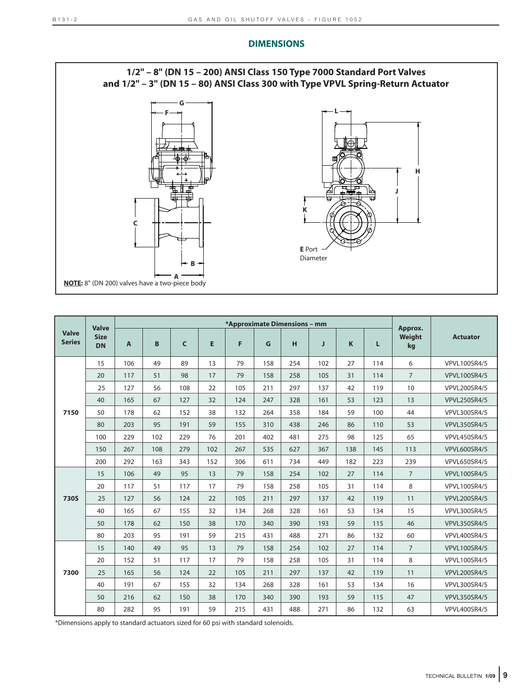

|                               | <b>Valve</b>             |              |     |              |     | *Approximate Dimensions - mm |     |     |     |             |     | Approx.        |                     |
|-------------------------------|--------------------------|--------------|-----|--------------|-----|------------------------------|-----|-----|-----|-------------|-----|----------------|---------------------|
| <b>Valve</b><br><b>Series</b> | <b>Size</b><br><b>DN</b> | $\mathbf{A}$ | B   | $\mathsf{C}$ | E   | F                            | G   | H   | J   | $\mathbf K$ | Г   | Weight<br>kg   | <b>Actuator</b>     |
|                               | 15                       | 106          | 49  | 89           | 13  | 79                           | 158 | 254 | 102 | 27          | 114 | 6              | VPVL100SR4/5        |
|                               | 20                       | 117          | 51  | 98           | 17  | 79                           | 158 | 258 | 105 | 31          | 114 | $\overline{7}$ | <b>VPVL100SR4/5</b> |
|                               | 25                       | 127          | 56  | 108          | 22  | 105                          | 211 | 297 | 137 | 42          | 119 | 10             | <b>VPVL200SR4/5</b> |
|                               | 40                       | 165          | 67  | 127          | 32  | 124                          | 247 | 328 | 161 | 53          | 123 | 13             | <b>VPVL250SR4/5</b> |
| 7150                          | 50                       | 178          | 62  | 152          | 38  | 132                          | 264 | 358 | 184 | 59          | 100 | 44             | VPVL300SR4/5        |
|                               | 80                       | 203          | 95  | 191          | 59  | 155                          | 310 | 438 | 246 | 86          | 110 | 53             | <b>VPVL350SR4/5</b> |
|                               | 100                      | 229          | 102 | 229          | 76  | 201                          | 402 | 481 | 275 | 98          | 125 | 65             | <b>VPVL450SR4/5</b> |
|                               | 150                      | 267          | 108 | 279          | 102 | 267                          | 535 | 627 | 367 | 138         | 145 | 113            | <b>VPVL600SR4/5</b> |
|                               | 200                      | 292          | 163 | 343          | 152 | 306                          | 611 | 734 | 449 | 182         | 223 | 239            | <b>VPVL650SR4/5</b> |
|                               | 15                       | 106          | 49  | 95           | 13  | 79                           | 158 | 254 | 102 | 27          | 114 | $\overline{7}$ | <b>VPVL100SR4/5</b> |
|                               | 20                       | 117          | 51  | 117          | 17  | 79                           | 158 | 258 | 105 | 31          | 114 | 8              | VPVL100SR4/5        |
| <b>730S</b>                   | 25                       | 127          | 56  | 124          | 22  | 105                          | 211 | 297 | 137 | 42          | 119 | 11             | <b>VPVL200SR4/5</b> |
|                               | 40                       | 165          | 67  | 155          | 32  | 134                          | 268 | 328 | 161 | 53          | 134 | 15             | <b>VPVL300SR4/5</b> |
|                               | 50                       | 178          | 62  | 150          | 38  | 170                          | 340 | 390 | 193 | 59          | 115 | 46             | <b>VPVL350SR4/5</b> |
|                               | 80                       | 203          | 95  | 191          | 59  | 215                          | 431 | 488 | 271 | 86          | 132 | 60             | <b>VPVL400SR4/5</b> |
|                               | 15                       | 140          | 49  | 95           | 13  | 79                           | 158 | 254 | 102 | 27          | 114 | $\overline{7}$ | <b>VPVL100SR4/5</b> |
|                               | 20                       | 152          | 51  | 117          | 17  | 79                           | 158 | 258 | 105 | 31          | 114 | 8              | <b>VPVL100SR4/5</b> |
| 7300                          | 25                       | 165          | 56  | 124          | 22  | 105                          | 211 | 297 | 137 | 42          | 119 | 11             | <b>VPVL200SR4/5</b> |
|                               | 40                       | 191          | 67  | 155          | 32  | 134                          | 268 | 328 | 161 | 53          | 134 | 16             | VPVL300SR4/5        |
|                               | 50                       | 216          | 62  | 150          | 38  | 170                          | 340 | 390 | 193 | 59          | 115 | 47             | <b>VPVL350SR4/5</b> |
|                               | 80                       | 282          | 95  | 191          | 59  | 215                          | 431 | 488 | 271 | 86          | 132 | 63             | <b>VPVL400SR4/5</b> |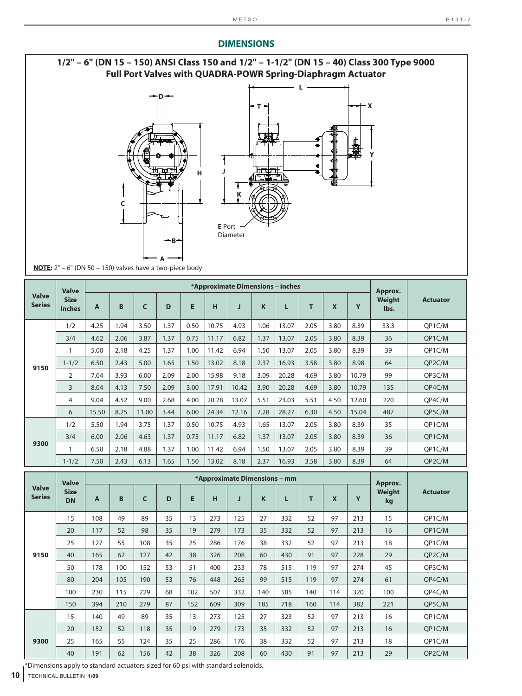

|                               | <b>Valve</b>                 |       |      |       |      |      |       |       |      | *Approximate Dimensions - inches |      |                  |       | Approx.        |                 |
|-------------------------------|------------------------------|-------|------|-------|------|------|-------|-------|------|----------------------------------|------|------------------|-------|----------------|-----------------|
| <b>Valve</b><br><b>Series</b> | <b>Size</b><br><b>Inches</b> | A     | B    | C     | D    | E    | н     | J     | K    | L                                | т    | $\boldsymbol{x}$ | Y     | Weight<br>lbs. | <b>Actuator</b> |
|                               | 1/2                          | 4.25  | 1.94 | 3.50  | 1.37 | 0.50 | 10.75 | 4.93  | 1.06 | 13.07                            | 2.05 | 3.80             | 8.39  | 33.3           | OP1C/M          |
|                               | 3/4                          | 4.62  | 2.06 | 3.87  | 1.37 | 0.75 | 11.17 | 6.82  | 1.37 | 13.07                            | 2.05 | 3.80             | 8.39  | 36             | QP1C/M          |
|                               | $\mathbf{1}$                 | 5.00  | 2.18 | 4.25  | 1.37 | 1.00 | 11.42 | 6.94  | 1.50 | 13.07                            | 2.05 | 3.80             | 8.39  | 39             | QP1C/M          |
| 9150                          | $1 - 1/2$                    | 6.50  | 2.43 | 5.00  | 1.65 | 1.50 | 13.02 | 8.18  | 2.37 | 16.93                            | 3.58 | 3.80             | 8.98  | 64             | QP2C/M          |
|                               | 2                            | 7.04  | 3.93 | 6.00  | 2.09 | 2.00 | 15.98 | 9.18  | 3.09 | 20.28                            | 4.69 | 3.80             | 10.79 | 99             | OP3C/M          |
|                               | 3                            | 8.04  | 4.13 | 7.50  | 2.09 | 3.00 | 17.91 | 10.42 | 3.90 | 20.28                            | 4.69 | 3.80             | 10.79 | 135            | OP4C/M          |
|                               | 4                            | 9.04  | 4.52 | 9.00  | 2.68 | 4.00 | 20.28 | 13.07 | 5.51 | 23.03                            | 5.51 | 4.50             | 12.60 | 220            | QP4C/M          |
|                               | 6                            | 15.50 | 8.25 | 11.00 | 3.44 | 6.00 | 24.34 | 12.16 | 7.28 | 28.27                            | 6.30 | 4.50             | 15.04 | 487            | QP5C/M          |
|                               | 1/2                          | 5.50  | 1.94 | 3.75  | 1.37 | 0.50 | 10.75 | 4.93  | 1.65 | 13.07                            | 2.05 | 3.80             | 8.39  | 35             | QP1C/M          |
|                               | 3/4                          | 6.00  | 2.06 | 4.63  | 1.37 | 0.75 | 11.17 | 6.82  | 1.37 | 13.07                            | 2.05 | 3.80             | 8.39  | 36             | OP1C/M          |
| 9300                          | 1                            | 6.50  | 2.18 | 4.88  | 1.37 | 1.00 | 11.42 | 6.94  | 1.50 | 13.07                            | 2.05 | 3.80             | 8.39  | 39             | QP1C/M          |
|                               | $1 - 1/2$                    | 7.50  | 2.43 | 6.13  | 1.65 | 1.50 | 13.02 | 8.18  | 2.37 | 16.93                            | 3.58 | 3.80             | 8.39  | 64             | QP2C/M          |

|                               | <b>Valve</b>             |     |     |     |    |     |     | *Approximate Dimensions - mm |     |     |     |                           |     | Approx.      |                 |
|-------------------------------|--------------------------|-----|-----|-----|----|-----|-----|------------------------------|-----|-----|-----|---------------------------|-----|--------------|-----------------|
| <b>Valve</b><br><b>Series</b> | <b>Size</b><br><b>DN</b> | A   | B   | C   | D  | E   | н   | J                            | K   | L   | т   | $\boldsymbol{\mathsf{x}}$ | Y   | Weight<br>kg | <b>Actuator</b> |
|                               | 15                       | 108 | 49  | 89  | 35 | 13  | 273 | 125                          | 27  | 332 | 52  | 97                        | 213 | 15           | QP1C/M          |
|                               | 20                       | 117 | 52  | 98  | 35 | 19  | 279 | 173                          | 35  | 332 | 52  | 97                        | 213 | 16           | QP1C/M          |
|                               | 25                       | 127 | 55  | 108 | 35 | 25  | 286 | 176                          | 38  | 332 | 52  | 97                        | 213 | 18           | OP1C/M          |
| 9150                          | 40                       | 165 | 62  | 127 | 42 | 38  | 326 | 208                          | 60  | 430 | 91  | 97                        | 228 | 29           | QP2C/M          |
|                               | 50                       | 178 | 100 | 152 | 53 | 51  | 400 | 233                          | 78  | 515 | 119 | 97                        | 274 | 45           | QP3C/M          |
|                               | 80                       | 204 | 105 | 190 | 53 | 76  | 448 | 265                          | 99  | 515 | 119 | 97                        | 274 | 61           | QP4C/M          |
|                               | 100                      | 230 | 115 | 229 | 68 | 102 | 507 | 332                          | 140 | 585 | 140 | 114                       | 320 | 100          | OP4C/M          |
|                               | 150                      | 394 | 210 | 279 | 87 | 152 | 609 | 309                          | 185 | 718 | 160 | 114                       | 382 | 221          | OP5C/M          |
|                               | 15                       | 140 | 49  | 89  | 35 | 13  | 273 | 125                          | 27  | 323 | 52  | 97                        | 213 | 16           | QP1C/M          |
|                               | 20                       | 152 | 52  | 118 | 35 | 19  | 279 | 173                          | 35  | 332 | 52  | 97                        | 213 | 16           | QP1C/M          |
| 9300                          | 25                       | 165 | 55  | 124 | 35 | 25  | 286 | 176                          | 38  | 332 | 52  | 97                        | 213 | 18           | QP1C/M          |
|                               | 40                       | 191 | 62  | 156 | 42 | 38  | 326 | 208                          | 60  | 430 | 91  | 97                        | 213 | 29           | QP2C/M          |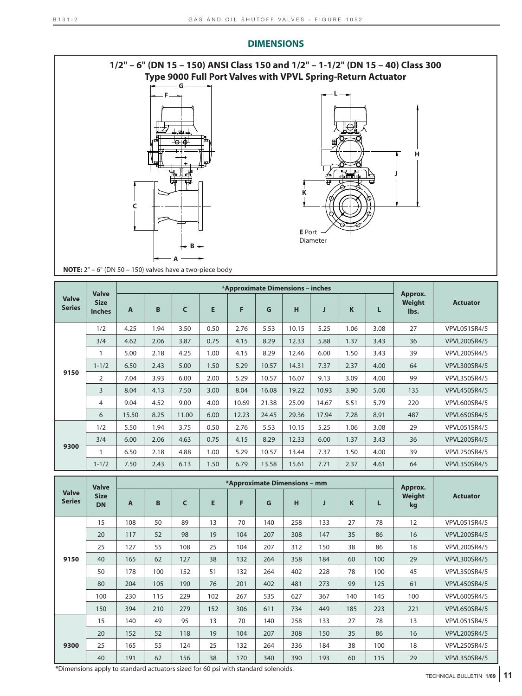

|                               | <b>Valve</b>                 |              |      |       |      | *Approximate Dimensions - inches |       |       |       |      |      |                           |                     |
|-------------------------------|------------------------------|--------------|------|-------|------|----------------------------------|-------|-------|-------|------|------|---------------------------|---------------------|
| <b>Valve</b><br><b>Series</b> | <b>Size</b><br><b>Inches</b> | $\mathbf{A}$ | B    | C     | E    | F                                | G     | н     | J     | K    | L    | Approx.<br>Weight<br>lbs. | <b>Actuator</b>     |
|                               | 1/2                          | 4.25         | 1.94 | 3.50  | 0.50 | 2.76                             | 5.53  | 10.15 | 5.25  | 1.06 | 3.08 | 27                        | VPVL051SR4/5        |
|                               | 3/4                          | 4.62         | 2.06 | 3.87  | 0.75 | 4.15                             | 8.29  | 12.33 | 5.88  | 1.37 | 3.43 | 36                        | <b>VPVL200SR4/5</b> |
|                               |                              | 5.00         | 2.18 | 4.25  | 1.00 | 4.15                             | 8.29  | 12.46 | 6.00  | 1.50 | 3.43 | 39                        | <b>VPVL200SR4/5</b> |
|                               | $1 - 1/2$                    | 6.50         | 2.43 | 5.00  | 1.50 | 5.29                             | 10.57 | 14.31 | 7.37  | 2.37 | 4.00 | 64                        | <b>VPVL300SR4/5</b> |
| 9150                          | 2                            | 7.04         | 3.93 | 6.00  | 2.00 | 5.29                             | 10.57 | 16.07 | 9.13  | 3.09 | 4.00 | 99                        | <b>VPVL350SR4/5</b> |
|                               | $\overline{3}$               | 8.04         | 4.13 | 7.50  | 3.00 | 8.04                             | 16.08 | 19.22 | 10.93 | 3.90 | 5.00 | 135                       | <b>VPVL450SR4/5</b> |
|                               | 4                            | 9.04         | 4.52 | 9.00  | 4.00 | 10.69                            | 21.38 | 25.09 | 14.67 | 5.51 | 5.79 | 220                       | <b>VPVL600SR4/5</b> |
|                               | 6                            | 15.50        | 8.25 | 11.00 | 6.00 | 12.23                            | 24.45 | 29.36 | 17.94 | 7.28 | 8.91 | 487                       | <b>VPVL650SR4/5</b> |
|                               | 1/2                          | 5.50         | 1.94 | 3.75  | 0.50 | 2.76                             | 5.53  | 10.15 | 5.25  | 1.06 | 3.08 | 29                        | VPVL051SR4/5        |
|                               | 3/4                          | 6.00         | 2.06 | 4.63  | 0.75 | 4.15                             | 8.29  | 12.33 | 6.00  | 1.37 | 3.43 | 36                        | <b>VPVL200SR4/5</b> |
| 9300                          |                              | 6.50         | 2.18 | 4.88  | 1.00 | 5.29                             | 10.57 | 13.44 | 7.37  | 1.50 | 4.00 | 39                        | <b>VPVL250SR4/5</b> |
|                               | $1 - 1/2$                    | 7.50         | 2.43 | 6.13  | 1.50 | 6.79                             | 13.58 | 15.61 | 7.71  | 2.37 | 4.61 | 64                        | <b>VPVL350SR4/5</b> |

|                               | <b>Valve</b>             | *Approximate Dimensions - mm |     |              |     |     |     |     |     |     | Approx. |              |                     |  |
|-------------------------------|--------------------------|------------------------------|-----|--------------|-----|-----|-----|-----|-----|-----|---------|--------------|---------------------|--|
| <b>Valve</b><br><b>Series</b> | <b>Size</b><br><b>DN</b> | A                            | B   | $\mathsf{C}$ | E   | F   | G   | н   | J   | K   | L       | Weight<br>kg | <b>Actuator</b>     |  |
|                               | 15                       | 108                          | 50  | 89           | 13  | 70  | 140 | 258 | 133 | 27  | 78      | 12           | VPVL051SR4/5        |  |
|                               | 20                       | 117                          | 52  | 98           | 19  | 104 | 207 | 308 | 147 | 35  | 86      | 16           | <b>VPVL200SR4/5</b> |  |
|                               | 25                       | 127                          | 55  | 108          | 25  | 104 | 207 | 312 | 150 | 38  | 86      | 18           | <b>VPVL200SR4/5</b> |  |
| 9150                          | 40                       | 165                          | 62  | 127          | 38  | 132 | 264 | 358 | 184 | 60  | 100     | 29           | <b>VPVL300SR4/5</b> |  |
|                               | 50                       | 178                          | 100 | 152          | 51  | 132 | 264 | 402 | 228 | 78  | 100     | 45           | <b>VPVL350SR4/5</b> |  |
|                               | 80                       | 204                          | 105 | 190          | 76  | 201 | 402 | 481 | 273 | 99  | 125     | 61           | <b>VPVL450SR4/5</b> |  |
|                               | 100                      | 230                          | 115 | 229          | 102 | 267 | 535 | 627 | 367 | 140 | 145     | 100          | <b>VPVL600SR4/5</b> |  |
|                               | 150                      | 394                          | 210 | 279          | 152 | 306 | 611 | 734 | 449 | 185 | 223     | 221          | <b>VPVL650SR4/5</b> |  |
|                               | 15                       | 140                          | 49  | 95           | 13  | 70  | 140 | 258 | 133 | 27  | 78      | 13           | VPVL051SR4/5        |  |
| 9300                          | 20                       | 152                          | 52  | 118          | 19  | 104 | 207 | 308 | 150 | 35  | 86      | 16           | <b>VPVL200SR4/5</b> |  |
|                               | 25                       | 165                          | 55  | 124          | 25  | 132 | 264 | 336 | 184 | 38  | 100     | 18           | <b>VPVL250SR4/5</b> |  |
|                               | 40                       | 191                          | 62  | 156          | 38  | 170 | 340 | 390 | 193 | 60  | 115     | 29           | <b>VPVL350SR4/5</b> |  |